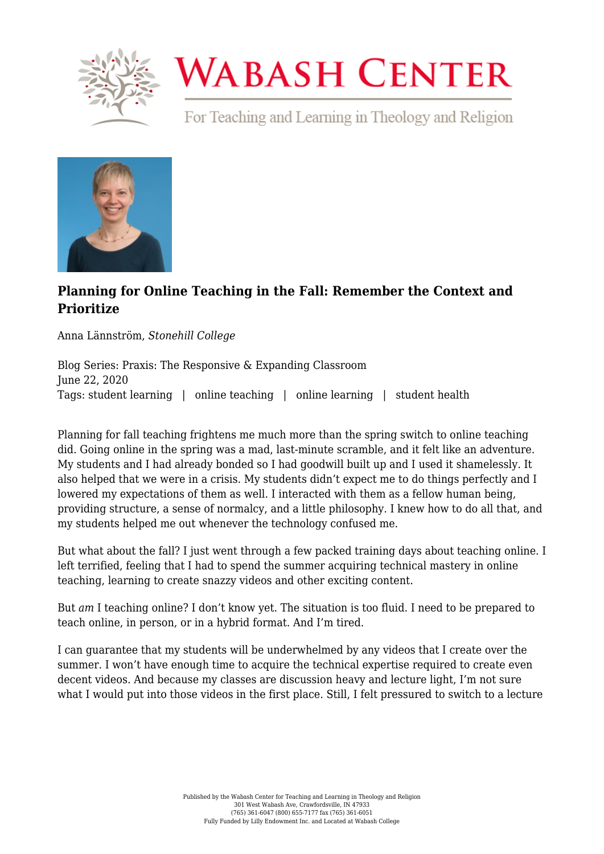

## **WABASH CENTER**

For Teaching and Learning in Theology and Religion



## **[Planning for Online Teaching in the Fall: Remember the Context and](https://www.wabashcenter.wabash.edu/2020/06/planning-for-online-teaching-in-the-fall-remember-the-context-and-prioritize/) [Prioritize](https://www.wabashcenter.wabash.edu/2020/06/planning-for-online-teaching-in-the-fall-remember-the-context-and-prioritize/)**

Anna Lännström, *Stonehill College*

Blog Series: Praxis: The Responsive & Expanding Classroom June 22, 2020 Tags: student learning | online teaching | online learning | student health

Planning for fall teaching frightens me much more than the spring switch to online teaching did. Going online in the spring was a mad, last-minute scramble, and it felt like an adventure. My students and I had already bonded so I had goodwill built up and I used it shamelessly. It also helped that we were in a crisis. My students didn't expect me to do things perfectly and I lowered my expectations of them as well. I interacted with them as a fellow human being, providing structure, a sense of normalcy, and a little philosophy. I knew how to do all that, and my students helped me out whenever the technology confused me.

But what about the fall? I just went through a few packed training days about teaching online. I left terrified, feeling that I had to spend the summer acquiring technical mastery in online teaching, learning to create snazzy videos and other exciting content.

But *am* I teaching online? I don't know yet. The situation is too fluid. I need to be prepared to teach online, in person, or in a hybrid format. And I'm tired.

I can guarantee that my students will be underwhelmed by any videos that I create over the summer. I won't have enough time to acquire the technical expertise required to create even decent videos. And because my classes are discussion heavy and lecture light, I'm not sure what I would put into those videos in the first place. Still, I felt pressured to switch to a lecture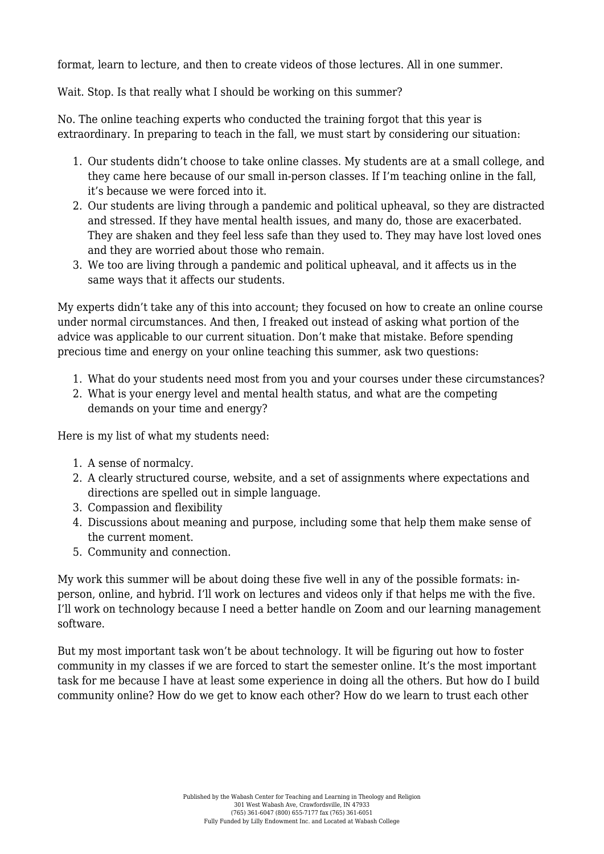format, learn to lecture, and then to create videos of those lectures. All in one summer.

Wait. Stop. Is that really what I should be working on this summer?

No. The online teaching experts who conducted the training forgot that this year is extraordinary. In preparing to teach in the fall, we must start by considering our situation:

- 1. Our students didn't choose to take online classes. My students are at a small college, and they came here because of our small in-person classes. If I'm teaching online in the fall, it's because we were forced into it.
- 2. Our students are living through a pandemic and political upheaval, so they are distracted and stressed. If they have mental health issues, and many do, those are exacerbated. They are shaken and they feel less safe than they used to. They may have lost loved ones and they are worried about those who remain.
- 3. We too are living through a pandemic and political upheaval, and it affects us in the same ways that it affects our students.

My experts didn't take any of this into account; they focused on how to create an online course under normal circumstances. And then, I freaked out instead of asking what portion of the advice was applicable to our current situation. Don't make that mistake. Before spending precious time and energy on your online teaching this summer, ask two questions:

- 1. What do your students need most from you and your courses under these circumstances?
- 2. What is your energy level and mental health status, and what are the competing demands on your time and energy?

Here is my list of what my students need:

- 1. A sense of normalcy.
- 2. A clearly structured course, website, and a set of assignments where expectations and directions are spelled out in simple language.
- 3. Compassion and flexibility
- 4. Discussions about meaning and purpose, including some that help them make sense of the current moment.
- 5. Community and connection.

My work this summer will be about doing these five well in any of the possible formats: inperson, online, and hybrid. I'll work on lectures and videos only if that helps me with the five. I'll work on technology because I need a better handle on Zoom and our learning management software.

But my most important task won't be about technology. It will be figuring out how to foster community in my classes if we are forced to start the semester online. It's the most important task for me because I have at least some experience in doing all the others. But how do I build community online? How do we get to know each other? How do we learn to trust each other